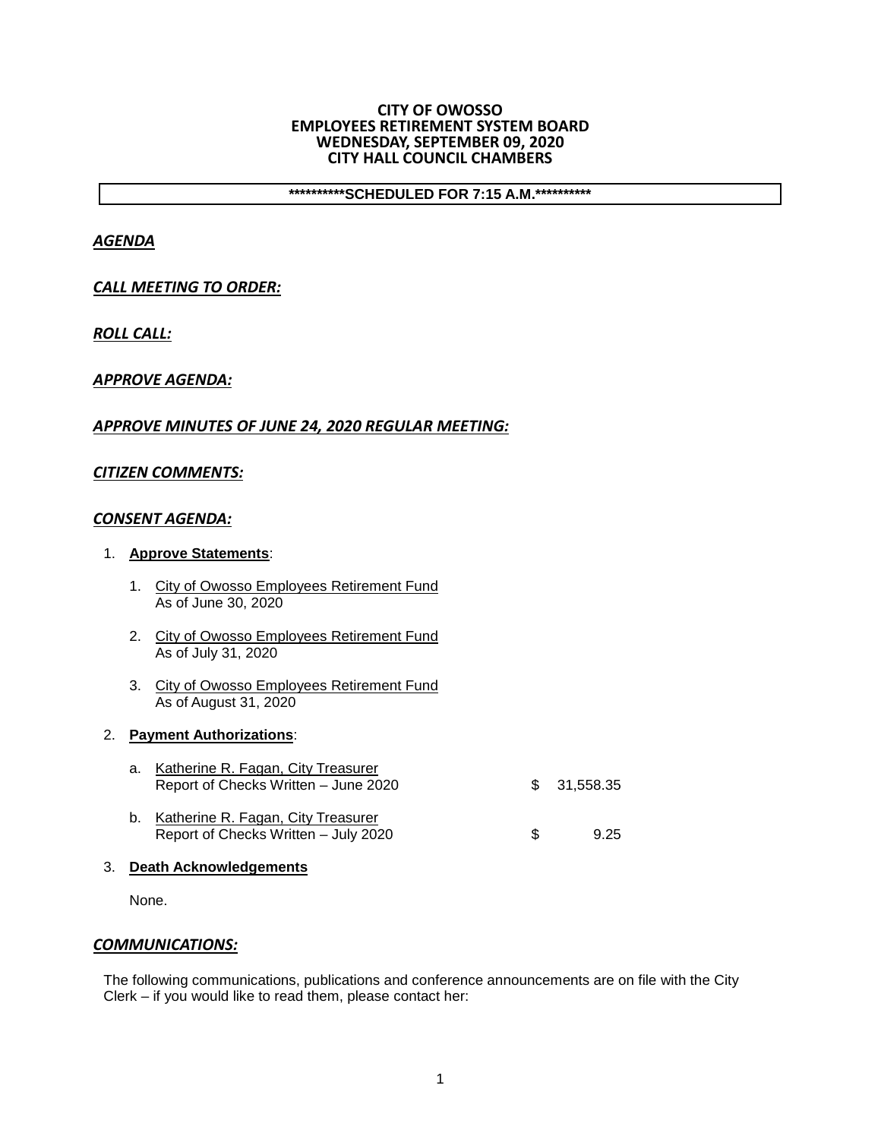#### **CITY OF OWOSSO EMPLOYEES RETIREMENT SYSTEM BOARD WEDNESDAY, SEPTEMBER 09, 2020 CITY HALL COUNCIL CHAMBERS**

**\*\*\*\*\*\*\*\*\*\*SCHEDULED FOR 7:15 A.M.\*\*\*\*\*\*\*\*\*\***

# *AGENDA*

## *CALL MEETING TO ORDER:*

*ROLL CALL:*

## *APPROVE AGENDA:*

## *APPROVE MINUTES OF JUNE 24, 2020 REGULAR MEETING:*

## *CITIZEN COMMENTS:*

#### *CONSENT AGENDA:*

#### 1. **Approve Statements**:

- 1. City of Owosso Employees Retirement Fund As of June 30, 2020
- 2. City of Owosso Employees Retirement Fund As of July 31, 2020
- 3. City of Owosso Employees Retirement Fund As of August 31, 2020

# 2. **Payment Authorizations**:

| a. Katherine R. Fagan, City Treasurer<br>Report of Checks Written - June 2020 |     | \$ 31,558,35 |
|-------------------------------------------------------------------------------|-----|--------------|
| b. Katherine R. Fagan, City Treasurer<br>Report of Checks Written - July 2020 | \$. | 9.25         |

3. **Death Acknowledgements**

None.

#### *COMMUNICATIONS:*

The following communications, publications and conference announcements are on file with the City Clerk – if you would like to read them, please contact her: